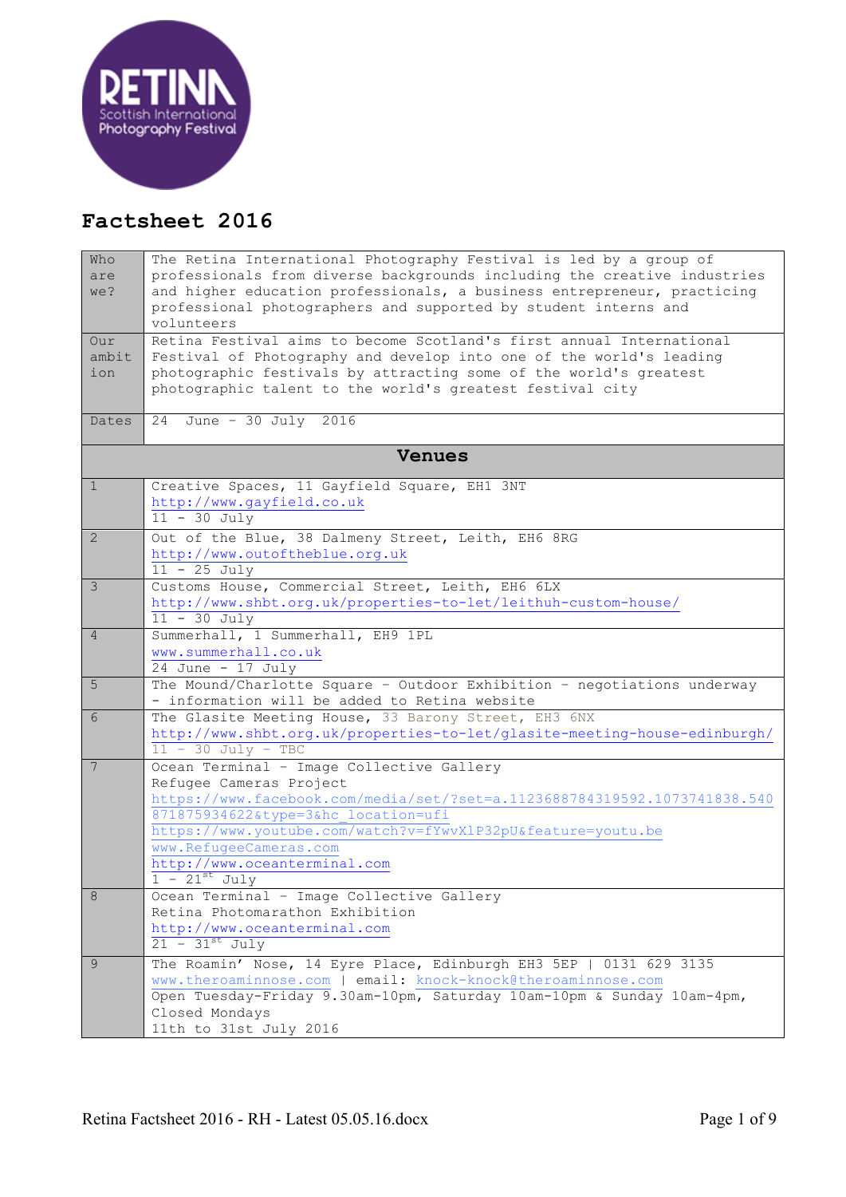

## **Factsheet 2016**

| Who            | The Retina International Photography Festival is led by a group of                                                                         |  |
|----------------|--------------------------------------------------------------------------------------------------------------------------------------------|--|
| are            | professionals from diverse backgrounds including the creative industries                                                                   |  |
| we?            | and higher education professionals, a business entrepreneur, practicing<br>professional photographers and supported by student interns and |  |
|                | volunteers                                                                                                                                 |  |
| Our            | Retina Festival aims to become Scotland's first annual International                                                                       |  |
| ambit          | Festival of Photography and develop into one of the world's leading                                                                        |  |
| ion            | photographic festivals by attracting some of the world's greatest                                                                          |  |
|                | photographic talent to the world's greatest festival city                                                                                  |  |
|                |                                                                                                                                            |  |
| Dates          | June - 30 July $2016$<br>24                                                                                                                |  |
| <b>Venues</b>  |                                                                                                                                            |  |
| $\mathbf{1}$   | Creative Spaces, 11 Gayfield Square, EH1 3NT                                                                                               |  |
|                | http://www.gayfield.co.uk                                                                                                                  |  |
|                | $11 - 30$ July                                                                                                                             |  |
| $\overline{2}$ | Out of the Blue, 38 Dalmeny Street, Leith, EH6 8RG                                                                                         |  |
|                | http://www.outoftheblue.org.uk                                                                                                             |  |
|                | $11 - 25$ July                                                                                                                             |  |
| 3              | Customs House, Commercial Street, Leith, EH6 6LX                                                                                           |  |
|                | http://www.shbt.org.uk/properties-to-let/leithuh-custom-house/                                                                             |  |
|                | $11 - 30$ July                                                                                                                             |  |
| 4              | Summerhall, 1 Summerhall, EH9 1PL<br>www.summerhall.co.uk                                                                                  |  |
|                | 24 June - 17 July                                                                                                                          |  |
| 5              | The Mound/Charlotte Square - Outdoor Exhibition - negotiations underway                                                                    |  |
|                | - information will be added to Retina website                                                                                              |  |
| 6              | The Glasite Meeting House, 33 Barony Street, EH3 6NX                                                                                       |  |
|                | http://www.shbt.org.uk/properties-to-let/glasite-meeting-house-edinburgh/                                                                  |  |
|                | $11 - 30$ July - TBC                                                                                                                       |  |
| 7              | Ocean Terminal - Image Collective Gallery                                                                                                  |  |
|                | Refugee Cameras Project<br>https://www.facebook.com/media/set/?set=a.1123688784319592.1073741838.540                                       |  |
|                | 871875934622&type=3&hc location=ufi                                                                                                        |  |
|                | https://www.youtube.com/watch?v=fYwvXlP32pU&feature=youtu.be                                                                               |  |
|                | www.RefugeeCameras.com                                                                                                                     |  |
|                | http://www.oceanterminal.com                                                                                                               |  |
|                | $1 - 21$ <sup>st</sup> July                                                                                                                |  |
| 8              | Ocean Terminal - Image Collective Gallery                                                                                                  |  |
|                | Retina Photomarathon Exhibition                                                                                                            |  |
|                | http://www.oceanterminal.com                                                                                                               |  |
|                | $21 - 31$ <sup>st</sup> July                                                                                                               |  |
| 9              | The Roamin' Nose, 14 Eyre Place, Edinburgh EH3 5EP   0131 629 3135                                                                         |  |
|                | www.theroaminnose.com   email: knock-knock@theroaminnose.com                                                                               |  |
|                | Open Tuesday-Friday 9.30am-10pm, Saturday 10am-10pm & Sunday 10am-4pm,                                                                     |  |
|                | Closed Mondays<br>11th to 31st July 2016                                                                                                   |  |
|                |                                                                                                                                            |  |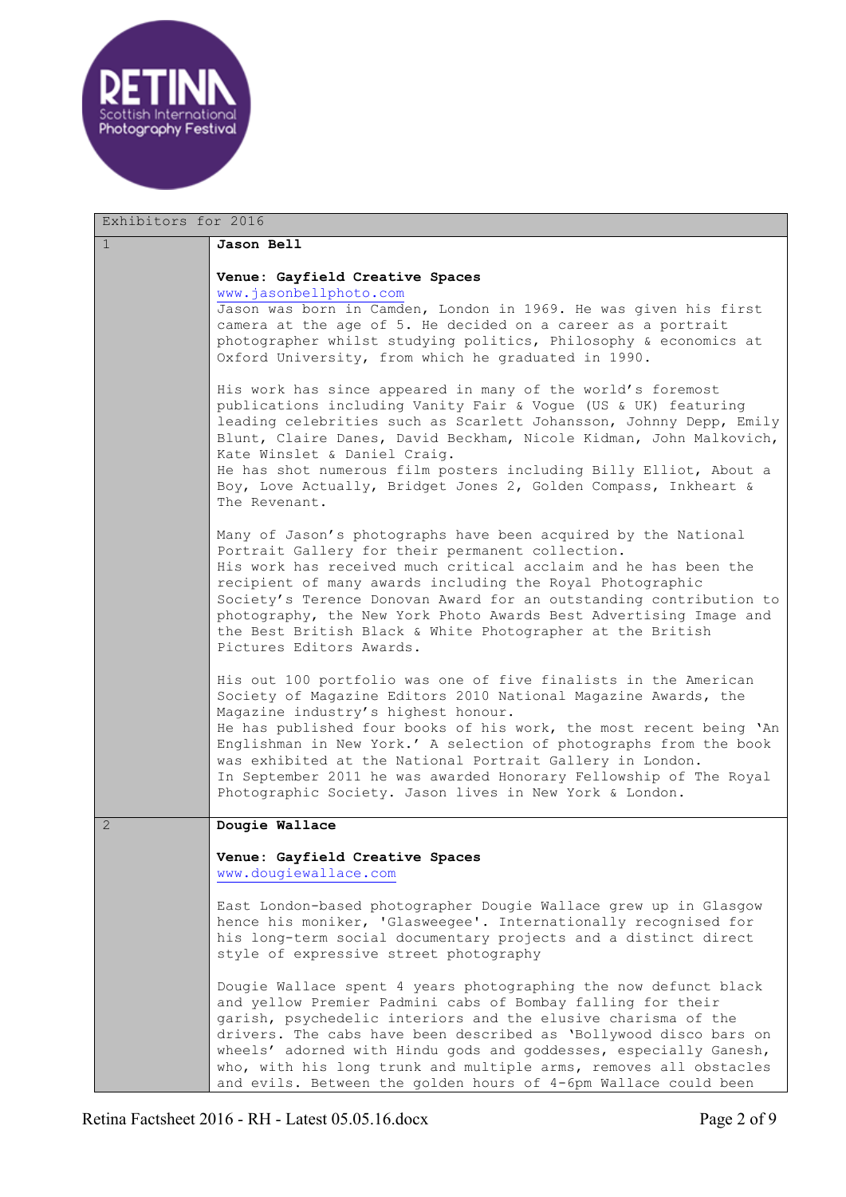

| Exhibitors for 2016 |                                                                                                                                                                                                                                                                                                                                                                                                                                                                                                                  |
|---------------------|------------------------------------------------------------------------------------------------------------------------------------------------------------------------------------------------------------------------------------------------------------------------------------------------------------------------------------------------------------------------------------------------------------------------------------------------------------------------------------------------------------------|
| $\mathbf{1}$        | <b>Jason Bell</b>                                                                                                                                                                                                                                                                                                                                                                                                                                                                                                |
|                     | Venue: Gayfield Creative Spaces<br>www.jasonbellphoto.com<br>Jason was born in Camden, London in 1969. He was given his first<br>camera at the age of 5. He decided on a career as a portrait<br>photographer whilst studying politics, Philosophy & economics at<br>Oxford University, from which he graduated in 1990.                                                                                                                                                                                         |
|                     | His work has since appeared in many of the world's foremost<br>publications including Vanity Fair & Vogue (US & UK) featuring<br>leading celebrities such as Scarlett Johansson, Johnny Depp, Emily<br>Blunt, Claire Danes, David Beckham, Nicole Kidman, John Malkovich,<br>Kate Winslet & Daniel Craig.<br>He has shot numerous film posters including Billy Elliot, About a<br>Boy, Love Actually, Bridget Jones 2, Golden Compass, Inkheart &<br>The Revenant.                                               |
|                     | Many of Jason's photographs have been acquired by the National<br>Portrait Gallery for their permanent collection.<br>His work has received much critical acclaim and he has been the<br>recipient of many awards including the Royal Photographic<br>Society's Terence Donovan Award for an outstanding contribution to<br>photography, the New York Photo Awards Best Advertising Image and<br>the Best British Black & White Photographer at the British<br>Pictures Editors Awards.                          |
|                     | His out 100 portfolio was one of five finalists in the American<br>Society of Magazine Editors 2010 National Magazine Awards, the<br>Magazine industry's highest honour.<br>He has published four books of his work, the most recent being 'An<br>Englishman in New York.' A selection of photographs from the book<br>was exhibited at the National Portrait Gallery in London.<br>In September 2011 he was awarded Honorary Fellowship of The Royal<br>Photographic Society. Jason lives in New York & London. |
| 2                   | Dougie Wallace                                                                                                                                                                                                                                                                                                                                                                                                                                                                                                   |
|                     | Venue: Gayfield Creative Spaces<br>www.dougiewallace.com                                                                                                                                                                                                                                                                                                                                                                                                                                                         |
|                     | East London-based photographer Dougie Wallace grew up in Glasgow<br>hence his moniker, 'Glasweegee'. Internationally recognised for<br>his long-term social documentary projects and a distinct direct<br>style of expressive street photography                                                                                                                                                                                                                                                                 |
|                     | Dougie Wallace spent 4 years photographing the now defunct black<br>and yellow Premier Padmini cabs of Bombay falling for their<br>garish, psychedelic interiors and the elusive charisma of the<br>drivers. The cabs have been described as 'Bollywood disco bars on<br>wheels' adorned with Hindu gods and goddesses, especially Ganesh,<br>who, with his long trunk and multiple arms, removes all obstacles<br>and evils. Between the golden hours of 4-6pm Wallace could been                               |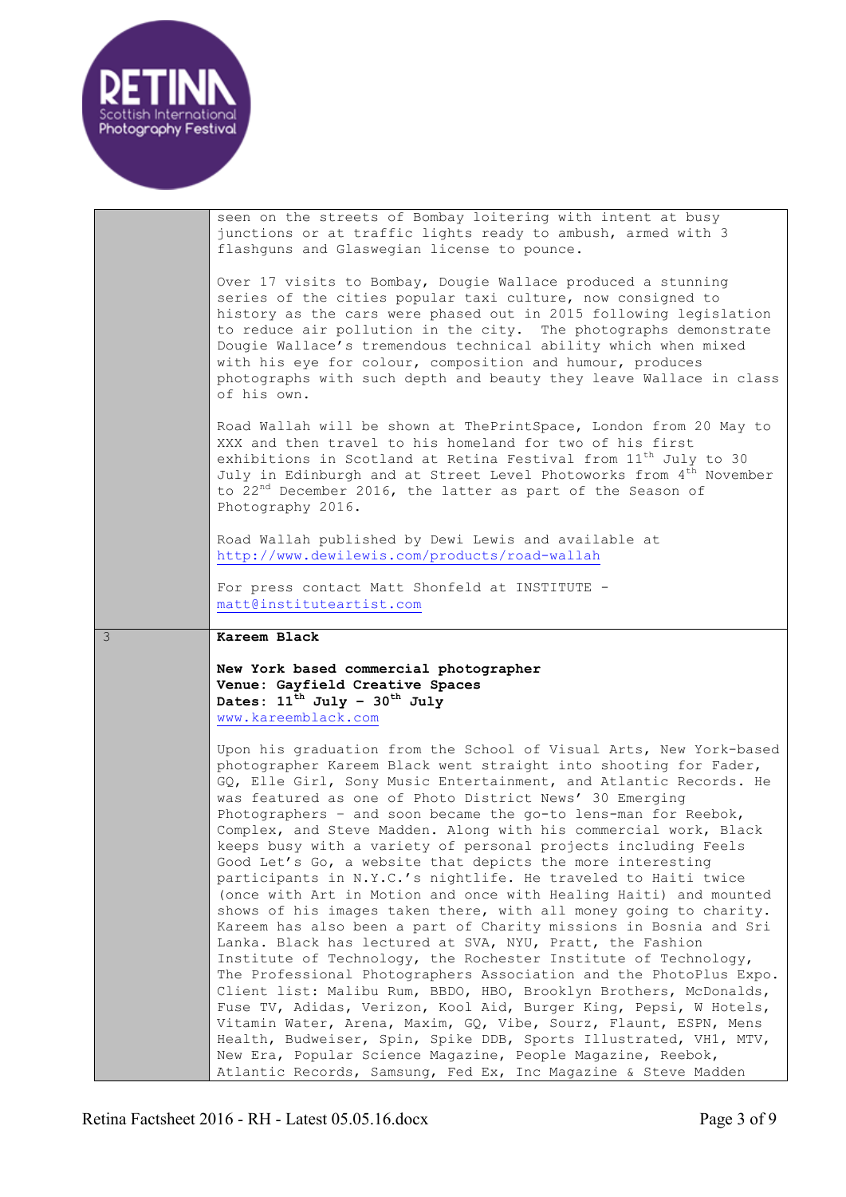| Scottish International<br>Photography Festival |  |
|------------------------------------------------|--|
|                                                |  |

|   | seen on the streets of Bombay loitering with intent at busy<br>junctions or at traffic lights ready to ambush, armed with 3<br>flashguns and Glaswegian license to pounce.<br>Over 17 visits to Bombay, Dougie Wallace produced a stunning<br>series of the cities popular taxi culture, now consigned to<br>history as the cars were phased out in 2015 following legislation<br>to reduce air pollution in the city. The photographs demonstrate<br>Dougie Wallace's tremendous technical ability which when mixed<br>with his eye for colour, composition and humour, produces                                                                                                                                                                                                                                                                                                                                                                                                                                                                                                                                                                                                                                                                                                                                                                                                                                                                       |
|---|---------------------------------------------------------------------------------------------------------------------------------------------------------------------------------------------------------------------------------------------------------------------------------------------------------------------------------------------------------------------------------------------------------------------------------------------------------------------------------------------------------------------------------------------------------------------------------------------------------------------------------------------------------------------------------------------------------------------------------------------------------------------------------------------------------------------------------------------------------------------------------------------------------------------------------------------------------------------------------------------------------------------------------------------------------------------------------------------------------------------------------------------------------------------------------------------------------------------------------------------------------------------------------------------------------------------------------------------------------------------------------------------------------------------------------------------------------|
|   | photographs with such depth and beauty they leave Wallace in class<br>of his own.<br>Road Wallah will be shown at ThePrintSpace, London from 20 May to<br>XXX and then travel to his homeland for two of his first<br>exhibitions in Scotland at Retina Festival from 11 <sup>th</sup> July to 30<br>July in Edinburgh and at Street Level Photoworks from 4 <sup>th</sup> November<br>to 22 <sup>nd</sup> December 2016, the latter as part of the Season of                                                                                                                                                                                                                                                                                                                                                                                                                                                                                                                                                                                                                                                                                                                                                                                                                                                                                                                                                                                           |
|   | Photography 2016.<br>Road Wallah published by Dewi Lewis and available at<br>http://www.dewilewis.com/products/road-wallah<br>For press contact Matt Shonfeld at INSTITUTE -<br>matt@instituteartist.com                                                                                                                                                                                                                                                                                                                                                                                                                                                                                                                                                                                                                                                                                                                                                                                                                                                                                                                                                                                                                                                                                                                                                                                                                                                |
| 3 | Kareem Black<br>New York based commercial photographer<br>Venue: Gayfield Creative Spaces<br>Dates: $11^{\text{th}}$ July - $30^{\text{th}}$ July<br>www.kareemblack.com                                                                                                                                                                                                                                                                                                                                                                                                                                                                                                                                                                                                                                                                                                                                                                                                                                                                                                                                                                                                                                                                                                                                                                                                                                                                                |
|   | Upon his graduation from the School of Visual Arts, New York-based<br>photographer Kareem Black went straight into shooting for Fader,<br>GQ, Elle Girl, Sony Music Entertainment, and Atlantic Records. He<br>was featured as one of Photo District News' 30 Emerging<br>Photographers - and soon became the go-to lens-man for Reebok,<br>Complex, and Steve Madden. Along with his commercial work, Black<br>keeps busy with a variety of personal projects including Feels<br>Good Let's Go, a website that depicts the more interesting<br>participants in N.Y.C.'s nightlife. He traveled to Haiti twice<br>(once with Art in Motion and once with Healing Haiti) and mounted<br>shows of his images taken there, with all money going to charity.<br>Kareem has also been a part of Charity missions in Bosnia and Sri<br>Lanka. Black has lectured at SVA, NYU, Pratt, the Fashion<br>Institute of Technology, the Rochester Institute of Technology,<br>The Professional Photographers Association and the PhotoPlus Expo.<br>Client list: Malibu Rum, BBDO, HBO, Brooklyn Brothers, McDonalds,<br>Fuse TV, Adidas, Verizon, Kool Aid, Burger King, Pepsi, W Hotels,<br>Vitamin Water, Arena, Maxim, GQ, Vibe, Sourz, Flaunt, ESPN, Mens<br>Health, Budweiser, Spin, Spike DDB, Sports Illustrated, VH1, MTV,<br>New Era, Popular Science Magazine, People Magazine, Reebok,<br>Atlantic Records, Samsung, Fed Ex, Inc Magazine & Steve Madden |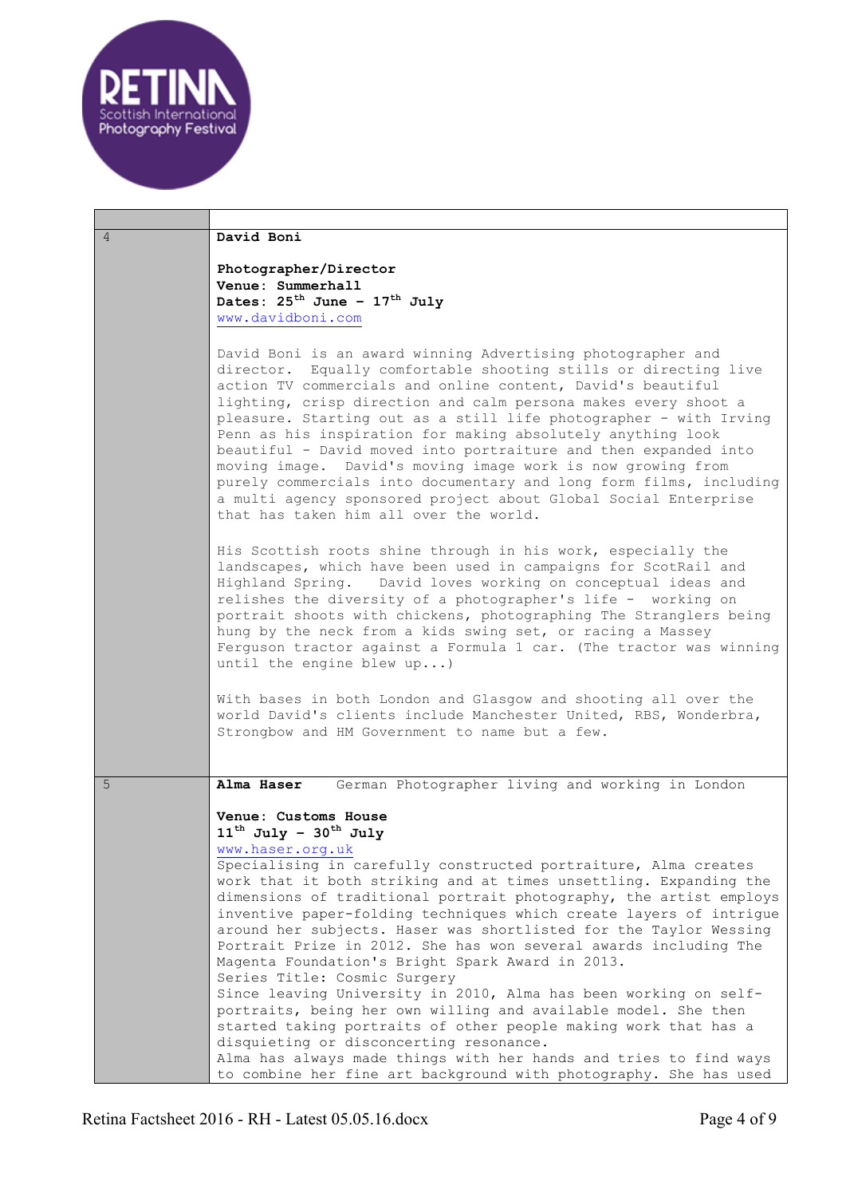

| 4 | David Boni                                                                                                                                                                                                                                                                                                                                                                                                                                                                                                                                                                                                                                                                                                               |
|---|--------------------------------------------------------------------------------------------------------------------------------------------------------------------------------------------------------------------------------------------------------------------------------------------------------------------------------------------------------------------------------------------------------------------------------------------------------------------------------------------------------------------------------------------------------------------------------------------------------------------------------------------------------------------------------------------------------------------------|
|   | Photographer/Director                                                                                                                                                                                                                                                                                                                                                                                                                                                                                                                                                                                                                                                                                                    |
|   | Venue: Summerhall                                                                                                                                                                                                                                                                                                                                                                                                                                                                                                                                                                                                                                                                                                        |
|   | Dates: $25^{\text{th}}$ June - $17^{\text{th}}$ July                                                                                                                                                                                                                                                                                                                                                                                                                                                                                                                                                                                                                                                                     |
|   | www.davidboni.com                                                                                                                                                                                                                                                                                                                                                                                                                                                                                                                                                                                                                                                                                                        |
|   |                                                                                                                                                                                                                                                                                                                                                                                                                                                                                                                                                                                                                                                                                                                          |
|   | David Boni is an award winning Advertising photographer and<br>director. Equally comfortable shooting stills or directing live<br>action TV commercials and online content, David's beautiful<br>lighting, crisp direction and calm persona makes every shoot a<br>pleasure. Starting out as a still life photographer - with Irving<br>Penn as his inspiration for making absolutely anything look<br>beautiful - David moved into portraiture and then expanded into<br>moving image. David's moving image work is now growing from<br>purely commercials into documentary and long form films, including<br>a multi agency sponsored project about Global Social Enterprise<br>that has taken him all over the world. |
|   | His Scottish roots shine through in his work, especially the<br>landscapes, which have been used in campaigns for ScotRail and<br>Highland Spring. David loves working on conceptual ideas and<br>relishes the diversity of a photographer's life - working on<br>portrait shoots with chickens, photographing The Stranglers being<br>hung by the neck from a kids swing set, or racing a Massey<br>Ferguson tractor against a Formula 1 car. (The tractor was winning<br>until the engine blew $up$ )                                                                                                                                                                                                                  |
|   | With bases in both London and Glasgow and shooting all over the<br>world David's clients include Manchester United, RBS, Wonderbra,<br>Strongbow and HM Government to name but a few.                                                                                                                                                                                                                                                                                                                                                                                                                                                                                                                                    |
|   |                                                                                                                                                                                                                                                                                                                                                                                                                                                                                                                                                                                                                                                                                                                          |
| 5 | German Photographer living and working in London<br>Alma Haser                                                                                                                                                                                                                                                                                                                                                                                                                                                                                                                                                                                                                                                           |
|   |                                                                                                                                                                                                                                                                                                                                                                                                                                                                                                                                                                                                                                                                                                                          |
|   | Venue: Customs House                                                                                                                                                                                                                                                                                                                                                                                                                                                                                                                                                                                                                                                                                                     |
|   | $11^{\text{th}}$ July - $30^{\text{th}}$ July                                                                                                                                                                                                                                                                                                                                                                                                                                                                                                                                                                                                                                                                            |
|   | www.haser.org.uk                                                                                                                                                                                                                                                                                                                                                                                                                                                                                                                                                                                                                                                                                                         |
|   | Specialising in carefully constructed portraiture, Alma creates<br>work that it both striking and at times unsettling. Expanding the                                                                                                                                                                                                                                                                                                                                                                                                                                                                                                                                                                                     |
|   | dimensions of traditional portrait photography, the artist employs                                                                                                                                                                                                                                                                                                                                                                                                                                                                                                                                                                                                                                                       |
|   | inventive paper-folding techniques which create layers of intrigue                                                                                                                                                                                                                                                                                                                                                                                                                                                                                                                                                                                                                                                       |
|   | around her subjects. Haser was shortlisted for the Taylor Wessing                                                                                                                                                                                                                                                                                                                                                                                                                                                                                                                                                                                                                                                        |
|   | Portrait Prize in 2012. She has won several awards including The                                                                                                                                                                                                                                                                                                                                                                                                                                                                                                                                                                                                                                                         |
|   | Magenta Foundation's Bright Spark Award in 2013.                                                                                                                                                                                                                                                                                                                                                                                                                                                                                                                                                                                                                                                                         |
|   | Series Title: Cosmic Surgery                                                                                                                                                                                                                                                                                                                                                                                                                                                                                                                                                                                                                                                                                             |
|   | Since leaving University in 2010, Alma has been working on self-                                                                                                                                                                                                                                                                                                                                                                                                                                                                                                                                                                                                                                                         |
|   | portraits, being her own willing and available model. She then                                                                                                                                                                                                                                                                                                                                                                                                                                                                                                                                                                                                                                                           |
|   | started taking portraits of other people making work that has a                                                                                                                                                                                                                                                                                                                                                                                                                                                                                                                                                                                                                                                          |
|   | disquieting or disconcerting resonance.                                                                                                                                                                                                                                                                                                                                                                                                                                                                                                                                                                                                                                                                                  |
|   | Alma has always made things with her hands and tries to find ways<br>to combine her fine art background with photography. She has used                                                                                                                                                                                                                                                                                                                                                                                                                                                                                                                                                                                   |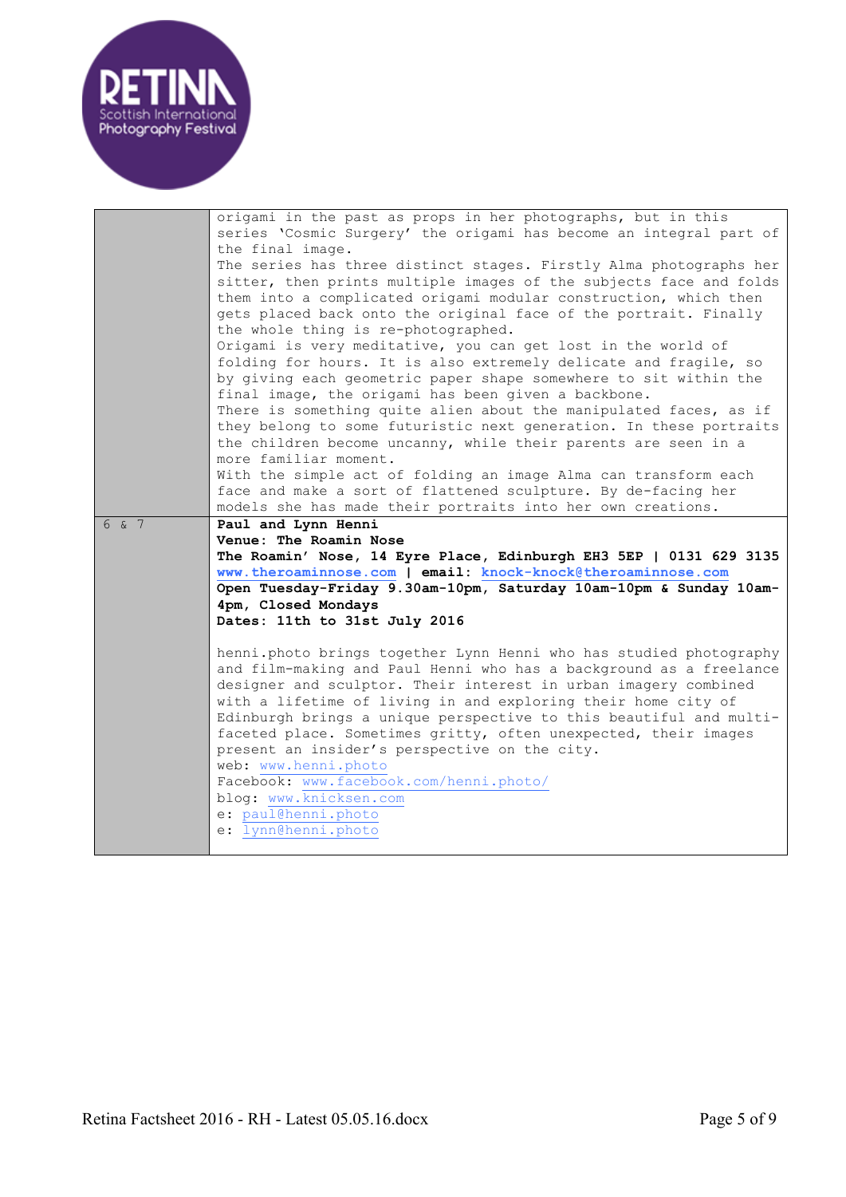

| origami in the past as props in her photographs, but in this                                                                          |  |
|---------------------------------------------------------------------------------------------------------------------------------------|--|
| series 'Cosmic Surgery' the origami has become an integral part of                                                                    |  |
| the final image.<br>The series has three distinct stages. Firstly Alma photographs her                                                |  |
| sitter, then prints multiple images of the subjects face and folds                                                                    |  |
| them into a complicated origami modular construction, which then                                                                      |  |
| gets placed back onto the original face of the portrait. Finally                                                                      |  |
| the whole thing is re-photographed.                                                                                                   |  |
| Origami is very meditative, you can get lost in the world of                                                                          |  |
| folding for hours. It is also extremely delicate and fragile, so                                                                      |  |
| by giving each geometric paper shape somewhere to sit within the                                                                      |  |
| final image, the origami has been given a backbone.                                                                                   |  |
| There is something quite alien about the manipulated faces, as if                                                                     |  |
| they belong to some futuristic next generation. In these portraits                                                                    |  |
| the children become uncanny, while their parents are seen in a<br>more familiar moment.                                               |  |
| With the simple act of folding an image Alma can transform each                                                                       |  |
| face and make a sort of flattened sculpture. By de-facing her                                                                         |  |
| models she has made their portraits into her own creations.                                                                           |  |
| 6 & 7<br>Paul and Lynn Henni                                                                                                          |  |
| Venue: The Roamin Nose                                                                                                                |  |
| The Roamin' Nose, 14 Eyre Place, Edinburgh EH3 5EP   0131 629 3135                                                                    |  |
| www.theroaminnose.com   email: knock-knock@theroaminnose.com<br>Open Tuesday-Friday 9.30am-10pm, Saturday 10am-10pm & Sunday 10am-    |  |
| 4pm, Closed Mondays                                                                                                                   |  |
| Dates: 11th to 31st July 2016                                                                                                         |  |
|                                                                                                                                       |  |
|                                                                                                                                       |  |
| henni.photo brings together Lynn Henni who has studied photography                                                                    |  |
| and film-making and Paul Henni who has a background as a freelance                                                                    |  |
| designer and sculptor. Their interest in urban imagery combined                                                                       |  |
| with a lifetime of living in and exploring their home city of                                                                         |  |
| Edinburgh brings a unique perspective to this beautiful and multi-<br>faceted place. Sometimes gritty, often unexpected, their images |  |
| present an insider's perspective on the city.                                                                                         |  |
| web: www.henni.photo                                                                                                                  |  |
| Facebook: www.facebook.com/henni.photo/                                                                                               |  |
| blog: www.knicksen.com                                                                                                                |  |
| e: paul@henni.photo<br>e: lynn@henni.photo                                                                                            |  |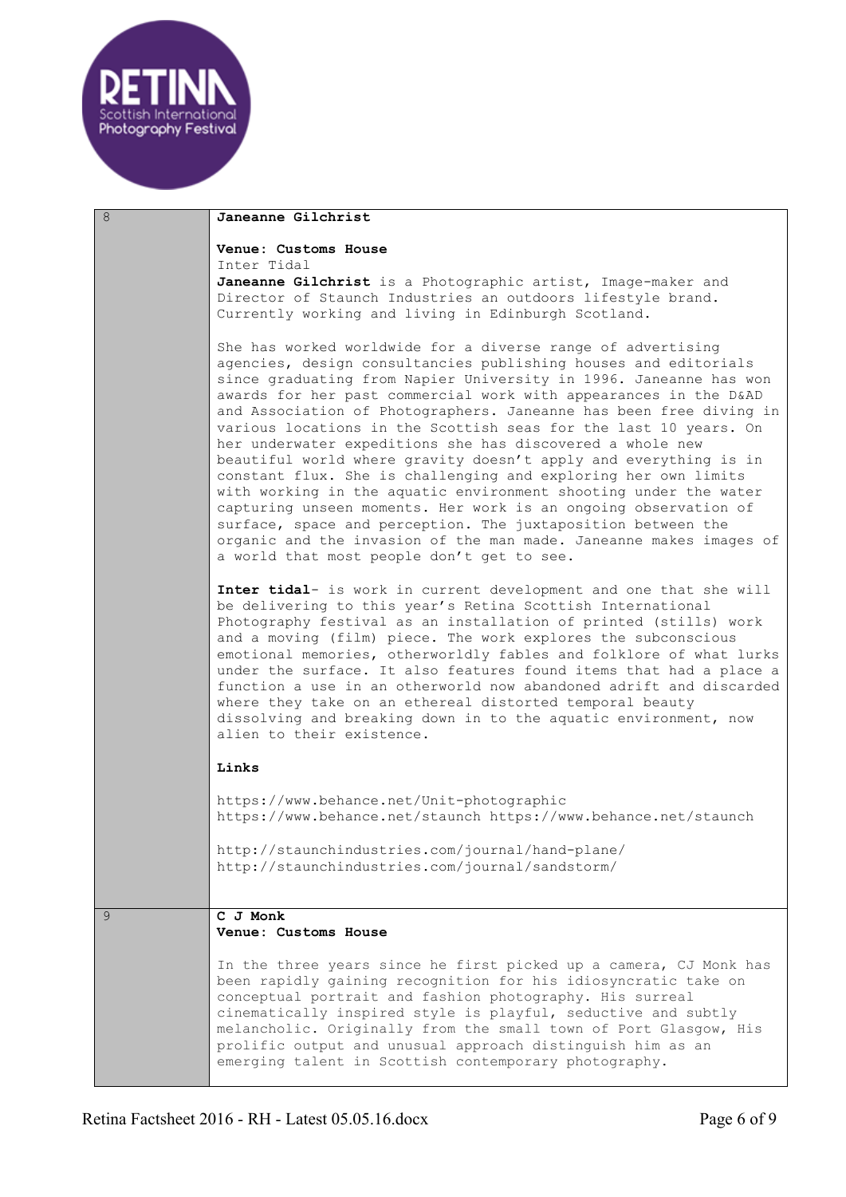

| 8 | Janeanne Gilchrist                                                                                                                                                                                                                                                                                                                                                                                                                                                                                                                                                                                                                                                                                                                                                                                                                                                                                                                              |
|---|-------------------------------------------------------------------------------------------------------------------------------------------------------------------------------------------------------------------------------------------------------------------------------------------------------------------------------------------------------------------------------------------------------------------------------------------------------------------------------------------------------------------------------------------------------------------------------------------------------------------------------------------------------------------------------------------------------------------------------------------------------------------------------------------------------------------------------------------------------------------------------------------------------------------------------------------------|
|   | Venue: Customs House<br>Inter Tidal                                                                                                                                                                                                                                                                                                                                                                                                                                                                                                                                                                                                                                                                                                                                                                                                                                                                                                             |
|   | Janeanne Gilchrist is a Photographic artist, Image-maker and<br>Director of Staunch Industries an outdoors lifestyle brand.<br>Currently working and living in Edinburgh Scotland.                                                                                                                                                                                                                                                                                                                                                                                                                                                                                                                                                                                                                                                                                                                                                              |
|   | She has worked worldwide for a diverse range of advertising<br>agencies, design consultancies publishing houses and editorials<br>since graduating from Napier University in 1996. Janeanne has won<br>awards for her past commercial work with appearances in the D&AD<br>and Association of Photographers. Janeanne has been free diving in<br>various locations in the Scottish seas for the last 10 years. On<br>her underwater expeditions she has discovered a whole new<br>beautiful world where gravity doesn't apply and everything is in<br>constant flux. She is challenging and exploring her own limits<br>with working in the aquatic environment shooting under the water<br>capturing unseen moments. Her work is an ongoing observation of<br>surface, space and perception. The juxtaposition between the<br>organic and the invasion of the man made. Janeanne makes images of<br>a world that most people don't get to see. |
|   | Inter tidal- is work in current development and one that she will<br>be delivering to this year's Retina Scottish International<br>Photography festival as an installation of printed (stills) work<br>and a moving (film) piece. The work explores the subconscious<br>emotional memories, otherworldly fables and folklore of what lurks<br>under the surface. It also features found items that had a place a<br>function a use in an otherworld now abandoned adrift and discarded<br>where they take on an ethereal distorted temporal beauty<br>dissolving and breaking down in to the aquatic environment, now<br>alien to their existence.                                                                                                                                                                                                                                                                                              |
|   | Links                                                                                                                                                                                                                                                                                                                                                                                                                                                                                                                                                                                                                                                                                                                                                                                                                                                                                                                                           |
|   | https://www.behance.net/Unit-photographic<br>https://www.behance.net/staunch https://www.behance.net/staunch                                                                                                                                                                                                                                                                                                                                                                                                                                                                                                                                                                                                                                                                                                                                                                                                                                    |
|   | http://staunchindustries.com/journal/hand-plane/<br>http://staunchindustries.com/journal/sandstorm/                                                                                                                                                                                                                                                                                                                                                                                                                                                                                                                                                                                                                                                                                                                                                                                                                                             |
| 9 | C J Monk                                                                                                                                                                                                                                                                                                                                                                                                                                                                                                                                                                                                                                                                                                                                                                                                                                                                                                                                        |
|   | Venue: Customs House                                                                                                                                                                                                                                                                                                                                                                                                                                                                                                                                                                                                                                                                                                                                                                                                                                                                                                                            |
|   | In the three years since he first picked up a camera, CJ Monk has<br>been rapidly gaining recognition for his idiosyncratic take on<br>conceptual portrait and fashion photography. His surreal<br>cinematically inspired style is playful, seductive and subtly<br>melancholic. Originally from the small town of Port Glasgow, His<br>prolific output and unusual approach distinguish him as an<br>emerging talent in Scottish contemporary photography.                                                                                                                                                                                                                                                                                                                                                                                                                                                                                     |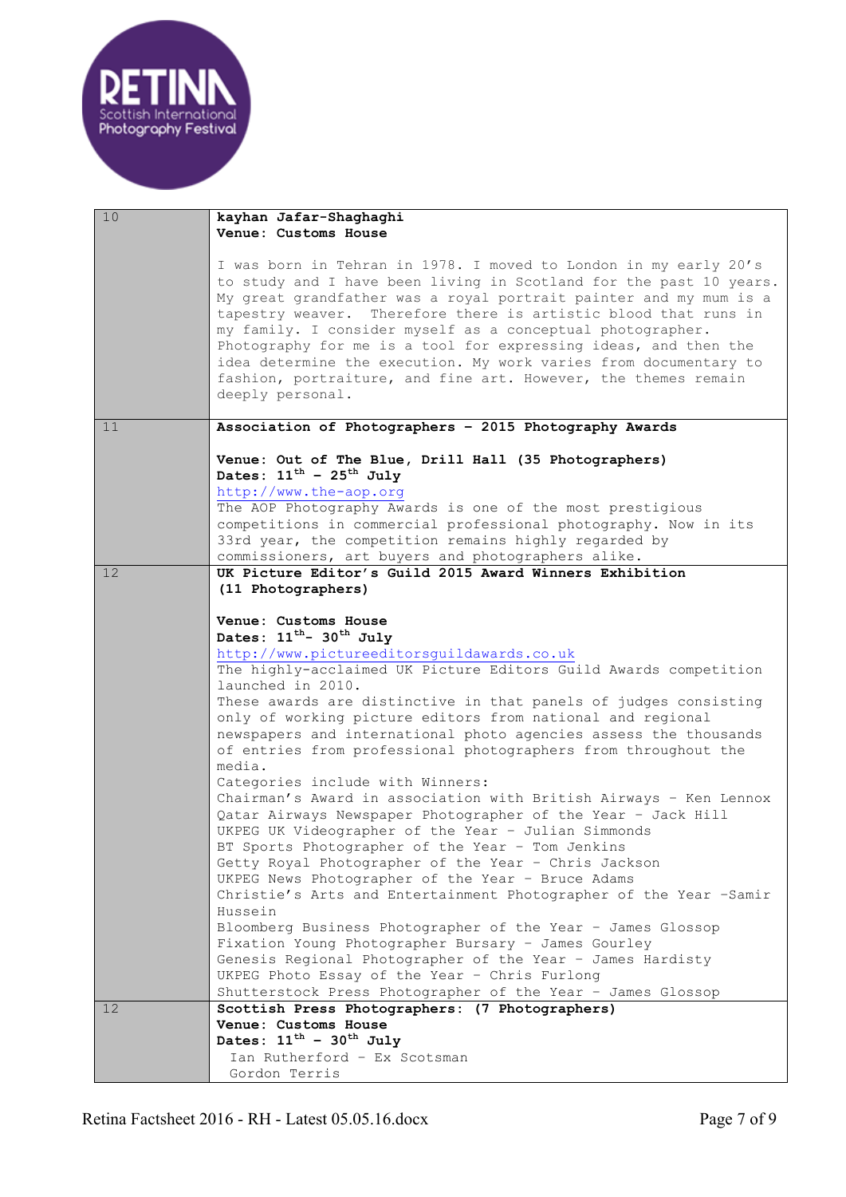

| 10 | kayhan Jafar-Shaghaghi                                                                                                                                                                                                                                                         |
|----|--------------------------------------------------------------------------------------------------------------------------------------------------------------------------------------------------------------------------------------------------------------------------------|
|    | Venue: Customs House                                                                                                                                                                                                                                                           |
|    |                                                                                                                                                                                                                                                                                |
|    | I was born in Tehran in 1978. I moved to London in my early 20's<br>to study and I have been living in Scotland for the past 10 years.<br>My great grandfather was a royal portrait painter and my mum is a<br>tapestry weaver. Therefore there is artistic blood that runs in |
|    | my family. I consider myself as a conceptual photographer.<br>Photography for me is a tool for expressing ideas, and then the<br>idea determine the execution. My work varies from documentary to                                                                              |
|    | fashion, portraiture, and fine art. However, the themes remain<br>deeply personal.                                                                                                                                                                                             |
| 11 | Association of Photographers - 2015 Photography Awards                                                                                                                                                                                                                         |
|    | Venue: Out of The Blue, Drill Hall (35 Photographers)<br>Dates: $11^{\text{th}}$ - $25^{\text{th}}$ July<br>http://www.the-aop.org                                                                                                                                             |
|    | The AOP Photography Awards is one of the most prestigious                                                                                                                                                                                                                      |
|    | competitions in commercial professional photography. Now in its<br>33rd year, the competition remains highly regarded by<br>commissioners, art buyers and photographers alike.                                                                                                 |
| 12 | UK Picture Editor's Guild 2015 Award Winners Exhibition                                                                                                                                                                                                                        |
|    | (11 Photographers)                                                                                                                                                                                                                                                             |
|    |                                                                                                                                                                                                                                                                                |
|    | Venue: Customs House                                                                                                                                                                                                                                                           |
|    | Dates: 11 <sup>th</sup> - 30 <sup>th</sup> July                                                                                                                                                                                                                                |
|    | http://www.pictureeditorsguildawards.co.uk                                                                                                                                                                                                                                     |
|    | The highly-acclaimed UK Picture Editors Guild Awards competition                                                                                                                                                                                                               |
|    | launched in 2010.                                                                                                                                                                                                                                                              |
|    | These awards are distinctive in that panels of judges consisting                                                                                                                                                                                                               |
|    | only of working picture editors from national and regional                                                                                                                                                                                                                     |
|    | newspapers and international photo agencies assess the thousands                                                                                                                                                                                                               |
|    | of entries from professional photographers from throughout the                                                                                                                                                                                                                 |
|    | media.                                                                                                                                                                                                                                                                         |
|    | Categories include with Winners:                                                                                                                                                                                                                                               |
|    | Chairman's Award in association with British Airways - Ken Lennox<br>Qatar Airways Newspaper Photographer of the Year - Jack Hill<br>UKPEG UK Videographer of the Year - Julian Simmonds                                                                                       |
|    | BT Sports Photographer of the Year - Tom Jenkins                                                                                                                                                                                                                               |
|    | Getty Royal Photographer of the Year - Chris Jackson                                                                                                                                                                                                                           |
|    | UKPEG News Photographer of the Year - Bruce Adams<br>Christie's Arts and Entertainment Photographer of the Year -Samir                                                                                                                                                         |
|    | Hussein                                                                                                                                                                                                                                                                        |
|    | Bloomberg Business Photographer of the Year - James Glossop                                                                                                                                                                                                                    |
|    | Fixation Young Photographer Bursary - James Gourley                                                                                                                                                                                                                            |
|    | Genesis Regional Photographer of the Year - James Hardisty                                                                                                                                                                                                                     |
|    | UKPEG Photo Essay of the Year - Chris Furlong                                                                                                                                                                                                                                  |
|    | Shutterstock Press Photographer of the Year - James Glossop                                                                                                                                                                                                                    |
| 12 | Scottish Press Photographers: (7 Photographers)                                                                                                                                                                                                                                |
|    | Venue: Customs House                                                                                                                                                                                                                                                           |
|    | Dates: $11^{\text{th}} - 30^{\text{th}}$ July                                                                                                                                                                                                                                  |
|    | Ian Rutherford - Ex Scotsman                                                                                                                                                                                                                                                   |
|    | Gordon Terris                                                                                                                                                                                                                                                                  |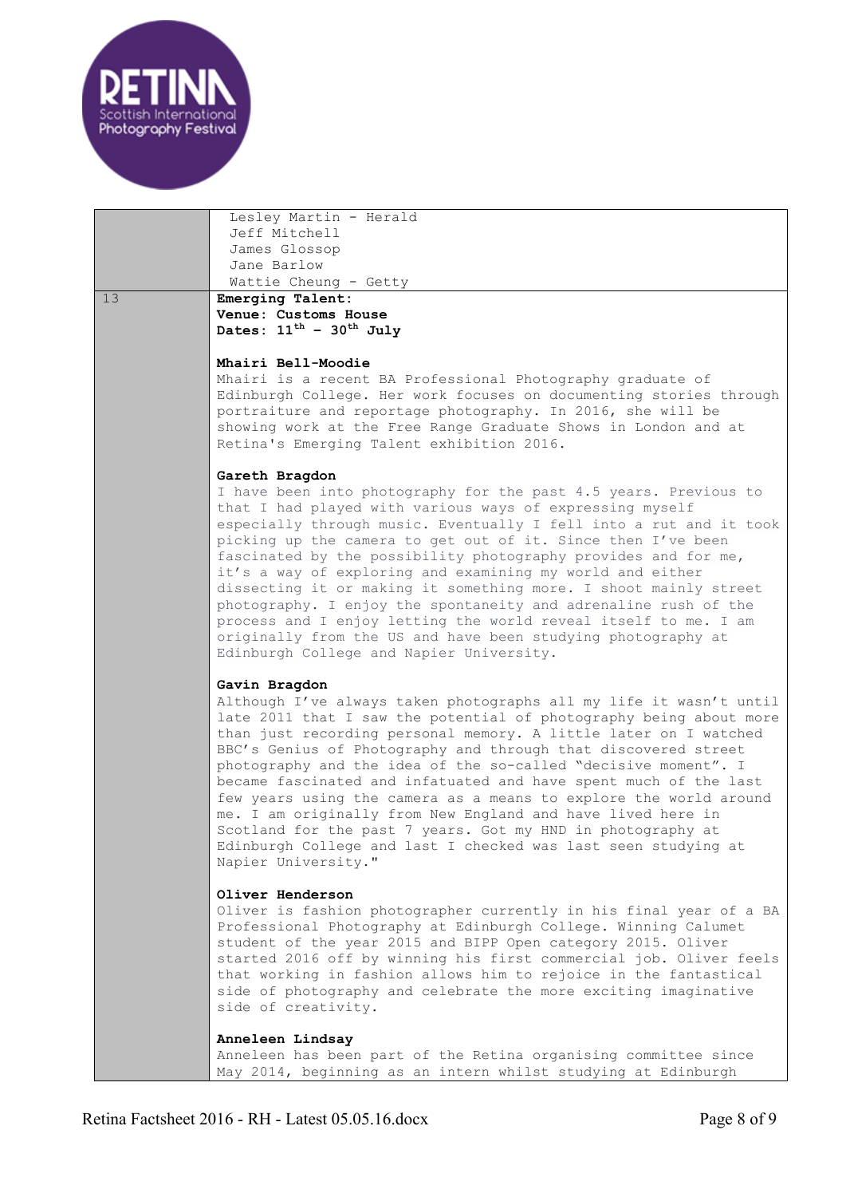

Lesley Martin - Herald Jeff Mitchell James Glossop Jane Barlow Wattie Cheung - Getty 13 **Emerging Talent: Venue: Customs House** Dates:  $11^{th}$  –  $30^{th}$  July **Mhairi Bell-Moodie** Mhairi is a recent BA Professional Photography graduate of Edinburgh College. Her work focuses on documenting stories through portraiture and reportage photography. In 2016, she will be showing work at the Free Range Graduate Shows in London and at Retina's Emerging Talent exhibition 2016. **Gareth Bragdon** I have been into photography for the past 4.5 years. Previous to that I had played with various ways of expressing myself especially through music. Eventually I fell into a rut and it took picking up the camera to get out of it. Since then I've been fascinated by the possibility photography provides and for me, it's a way of exploring and examining my world and either dissecting it or making it something more. I shoot mainly street photography. I enjoy the spontaneity and adrenaline rush of the process and I enjoy letting the world reveal itself to me. I am originally from the US and have been studying photography at Edinburgh College and Napier University. **Gavin Bragdon** Although I've always taken photographs all my life it wasn't until late 2011 that I saw the potential of photography being about more than just recording personal memory. A little later on I watched BBC's Genius of Photography and through that discovered street photography and the idea of the so-called "decisive moment". I became fascinated and infatuated and have spent much of the last few years using the camera as a means to explore the world around me. I am originally from New England and have lived here in Scotland for the past 7 years. Got my HND in photography at Edinburgh College and last I checked was last seen studying at Napier University." **Oliver Henderson** Oliver is fashion photographer currently in his final year of a BA Professional Photography at Edinburgh College. Winning Calumet student of the year 2015 and BIPP Open category 2015. Oliver started 2016 off by winning his first commercial job. Oliver feels that working in fashion allows him to rejoice in the fantastical side of photography and celebrate the more exciting imaginative side of creativity. **Anneleen Lindsay** Anneleen has been part of the Retina organising committee since May 2014, beginning as an intern whilst studying at Edinburgh